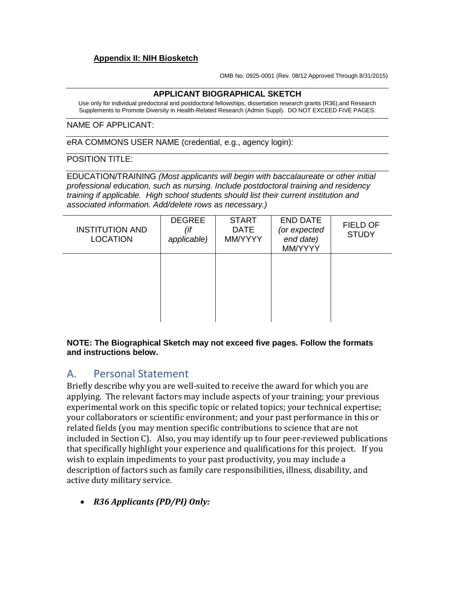### **Appendix II: NIH Biosketch**

OMB No. 0925-0001 (Rev. 08/12 Approved Through 8/31/2015)

#### **APPLICANT BIOGRAPHICAL SKETCH**

Use only for individual predoctoral and postdoctoral fellowships, dissertation research grants (R36),and Research Supplements to Promote Diversity in Health-Related Research (Admin Suppl). DO NOT EXCEED FIVE PAGES.

NAME OF APPLICANT:

eRA COMMONS USER NAME (credential, e.g., agency login):

#### POSITION TITLE:

EDUCATION/TRAINING *(Most applicants will begin with baccalaureate or other initial professional education, such as nursing. Include postdoctoral training and residency training if applicable. High school students should list their current institution and associated information. Add/delete rows as necessary.)*

| <b>INSTITUTION AND</b><br><b>LOCATION</b> | <b>DEGREE</b><br>(if<br>applicable) | <b>START</b><br><b>DATE</b><br>MM/YYYY | <b>END DATE</b><br>(or expected<br>end date)<br>MM/YYYY | <b>FIELD OF</b><br><b>STUDY</b> |
|-------------------------------------------|-------------------------------------|----------------------------------------|---------------------------------------------------------|---------------------------------|
|                                           |                                     |                                        |                                                         |                                 |
|                                           |                                     |                                        |                                                         |                                 |

#### **NOTE: The Biographical Sketch may not exceed five pages. Follow the formats and instructions below.**

## A. Personal Statement

Briefly describe why you are well-suited to receive the award for which you are applying. The relevant factors may include aspects of your training; your previous experimental work on this specific topic or related topics; your technical expertise; your collaborators or scientific environment; and your past performance in this or related fields (you may mention specific contributions to science that are not included in Section C). Also, you may identify up to four peer-reviewed publications that specifically highlight your experience and qualifications for this project. If you wish to explain impediments to your past productivity, you may include a description of factors such as family care responsibilities, illness, disability, and active duty military service.

• *R36 Applicants (PD/PI) Only:*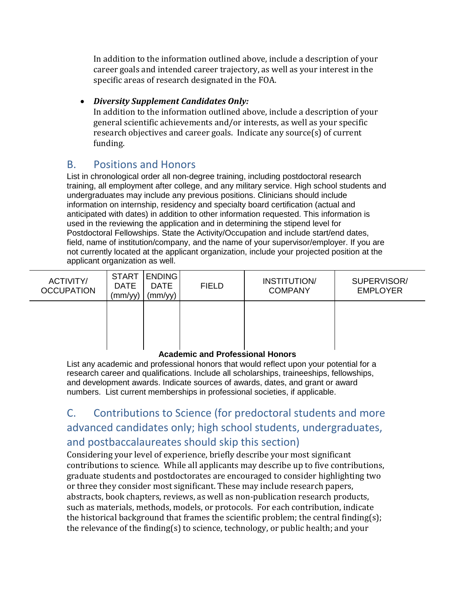In addition to the information outlined above, include a description of your career goals and intended career trajectory, as well as your interest in the specific areas of research designated in the FOA.

## • *Diversity Supplement Candidates Only:*

In addition to the information outlined above, include a description of your general scientific achievements and/or interests, as well as your specific research objectives and career goals. Indicate any source(s) of current funding.

# B. Positions and Honors

List in chronological order all non-degree training, including postdoctoral research training, all employment after college, and any military service. High school students and undergraduates may include any previous positions. Clinicians should include information on internship, residency and specialty board certification (actual and anticipated with dates) in addition to other information requested. This information is used in the reviewing the application and in determining the stipend level for Postdoctoral Fellowships. State the Activity/Occupation and include start/end dates, field, name of institution/company, and the name of your supervisor/employer. If you are not currently located at the applicant organization, include your projected position at the applicant organization as well.

| ACTIVITY/<br><b>OCCUPATION</b> | <b>START</b><br><b>DATE</b><br>(mm/yy) | <b>ENDING</b><br><b>DATE</b><br>(mm/yy) | <b>FIELD</b> | INSTITUTION/<br><b>COMPANY</b> | SUPERVISOR/<br><b>EMPLOYER</b> |
|--------------------------------|----------------------------------------|-----------------------------------------|--------------|--------------------------------|--------------------------------|
|                                |                                        |                                         |              |                                |                                |
|                                |                                        |                                         |              |                                |                                |

### **Academic and Professional Honors**

List any academic and professional honors that would reflect upon your potential for a research career and qualifications. Include all scholarships, traineeships, fellowships, and development awards. Indicate sources of awards, dates, and grant or award numbers. List current memberships in professional societies, if applicable.

# C. Contributions to Science (for predoctoral students and more advanced candidates only; high school students, undergraduates, and postbaccalaureates should skip this section)

Considering your level of experience, briefly describe your most significant contributions to science. While all applicants may describe up to five contributions, graduate students and postdoctorates are encouraged to consider highlighting two or three they consider most significant. These may include research papers, abstracts, book chapters, reviews, as well as non-publication research products, such as materials, methods, models, or protocols. For each contribution, indicate the historical background that frames the scientific problem; the central finding(s); the relevance of the finding(s) to science, technology, or public health; and your